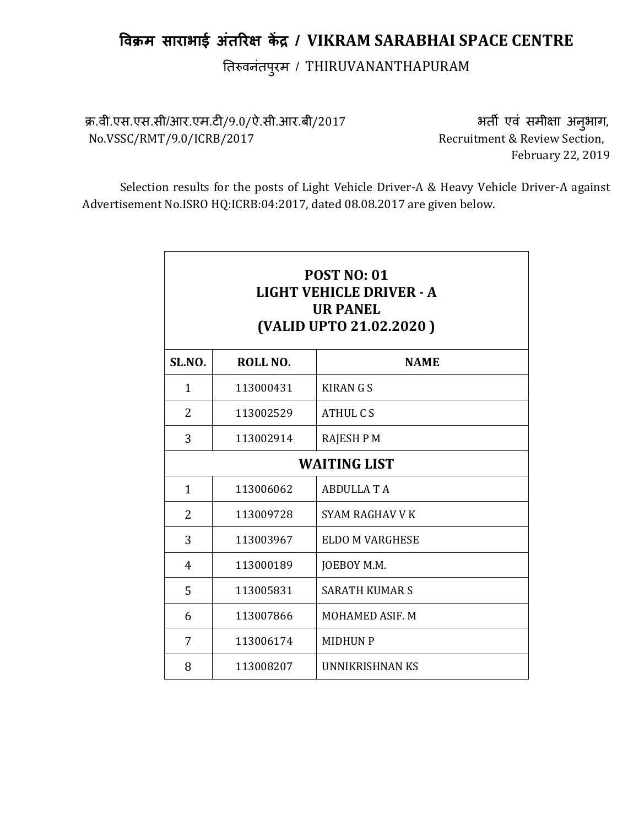# विक्रम साराभाई अंतरिक्ष केंद्र / VIKRAM SARABHAI SPACE CENTRE

तिरुवनंतपुरम / THIRUVANANTHAPURAM

क्र.वी.एस.एस.सी/आर.एम.टी/9.0/ऐ.सी.आर.बी/2017 भत्या अनी एवं समीक्षा अनुभाग, No.VSSC/RMT/9.0/ICRB/2017 Recruitment & Review Section,

February 22, 2019

Selection results for the posts of Light Vehicle Driver-A & Heavy Vehicle Driver-A against Advertisement No.ISRO HQ:ICRB:04:2017, dated 08.08.2017 are given below.

| <b>POST NO: 01</b><br>LIGHT VEHICLE DRIVER - A<br><b>UR PANEL</b><br>(VALID UPTO 21.02.2020) |           |                        |  |
|----------------------------------------------------------------------------------------------|-----------|------------------------|--|
| <b>SL.NO.</b>                                                                                | ROLL NO.  | <b>NAME</b>            |  |
| 1                                                                                            | 113000431 | <b>KIRANGS</b>         |  |
| $\overline{2}$                                                                               | 113002529 | ATHUL CS               |  |
| 3                                                                                            | 113002914 | <b>RAJESH P M</b>      |  |
| <b>WAITING LIST</b>                                                                          |           |                        |  |
| $\mathbf{1}$                                                                                 | 113006062 | <b>ABDULLATA</b>       |  |
| 2                                                                                            | 113009728 | SYAM RAGHAV V K        |  |
| 3                                                                                            | 113003967 | <b>ELDO M VARGHESE</b> |  |
| 4                                                                                            | 113000189 | JOEBOY M.M.            |  |
| 5                                                                                            | 113005831 | <b>SARATH KUMAR S</b>  |  |
| 6                                                                                            | 113007866 | <b>MOHAMED ASIF. M</b> |  |
| 7                                                                                            | 113006174 | <b>MIDHUN P</b>        |  |
| 8                                                                                            | 113008207 | UNNIKRISHNAN KS        |  |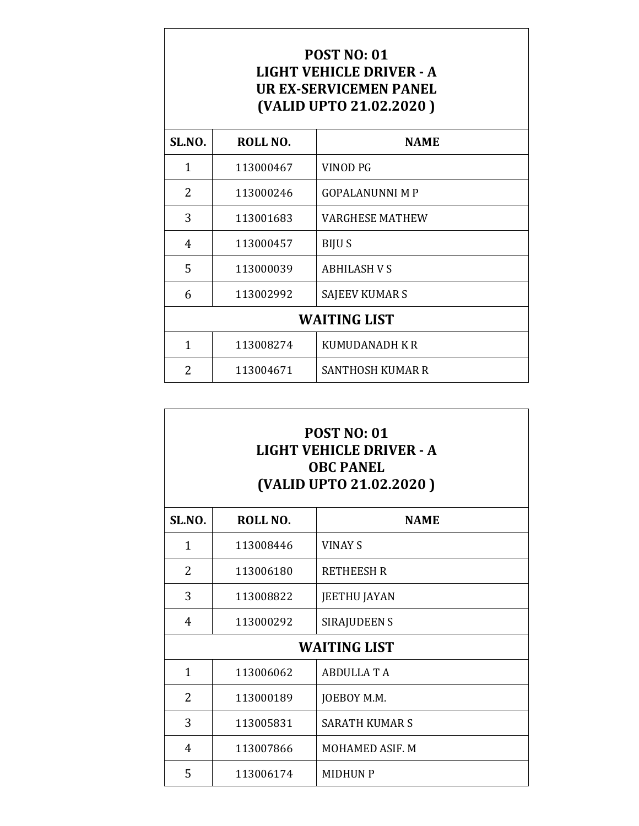# POST NO: 01 LIGHT VEHICLE DRIVER - A UR EX-SERVICEMEN PANEL (VALID UPTO 21.02.2020 )

| SL.NO.              | ROLL NO.  | <b>NAME</b>             |
|---------------------|-----------|-------------------------|
| 1                   | 113000467 | VINOD PG                |
| $\overline{2}$      | 113000246 | <b>GOPALANUNNI M P</b>  |
| 3                   | 113001683 | <b>VARGHESE MATHEW</b>  |
| 4                   | 113000457 | <b>BIJUS</b>            |
| 5                   | 113000039 | <b>ABHILASH V S</b>     |
| 6                   | 113002992 | SAJEEV KUMAR S          |
| <b>WAITING LIST</b> |           |                         |
| 1                   | 113008274 | KUMUDANADH K R          |
| 2                   | 113004671 | <b>SANTHOSH KUMAR R</b> |

### POST NO: 01 LIGHT VEHICLE DRIVER - A OBC PANEL (VALID UPTO 21.02.2020 )

| SL.NO.        | ROLL NO.  | <b>NAME</b>           |
|---------------|-----------|-----------------------|
| 1             | 113008446 | <b>VINAY S</b>        |
| 2             | 113006180 | <b>RETHEESH R</b>     |
| 3             | 113008822 | <b>JEETHU JAYAN</b>   |
| 4             | 113000292 | SIRAJUDEEN S          |
|               |           | <b>WAITING LIST</b>   |
| $\mathbf{1}$  | 113006062 | <b>ABDULLA T A</b>    |
| $\mathcal{P}$ | 113000189 | JOEBOY M.M.           |
| 3             | 113005831 | <b>SARATH KUMAR S</b> |
| 4             | 113007866 | MOHAMED ASIF. M       |
| 5             | 113006174 | <b>MIDHUN P</b>       |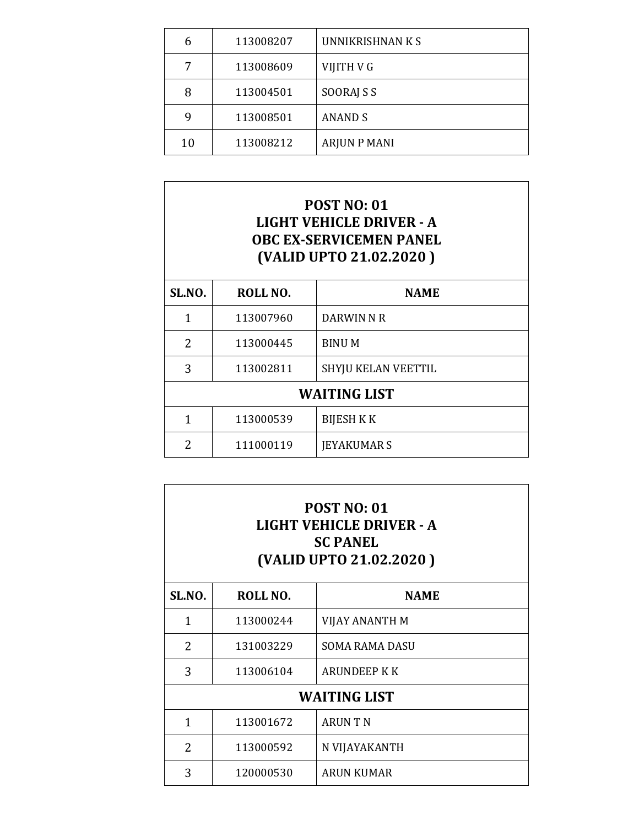|    | 113008207 | UNNIKRISHNAN K S    |
|----|-----------|---------------------|
|    | 113008609 | VIJITH V G          |
| 8  | 113004501 | SOORAJ S S          |
| q  | 113008501 | <b>ANAND S</b>      |
| 10 | 113008212 | <b>ARJUN P MANI</b> |

# POST NO: 01 LIGHT VEHICLE DRIVER - A OBC EX-SERVICEMEN PANEL (VALID UPTO 21.02.2020 )

| SL.NO.              | ROLL NO.  | <b>NAME</b>         |
|---------------------|-----------|---------------------|
| 1                   | 113007960 | DARWIN N R          |
| 2                   | 113000445 | <b>BINUM</b>        |
| 3                   | 113002811 | SHYJU KELAN VEETTIL |
| <b>WAITING LIST</b> |           |                     |
| 1                   | 113000539 | <b>BIJESH K K</b>   |
| 2                   | 111000119 | <b>JEYAKUMAR S</b>  |

| <b>POST NO: 01</b><br>LIGHT VEHICLE DRIVER - A<br><b>SC PANEL</b><br>(VALID UPTO 21.02.2020) |           |                       |  |
|----------------------------------------------------------------------------------------------|-----------|-----------------------|--|
| SL.NO.                                                                                       | ROLL NO.  | <b>NAME</b>           |  |
| 1                                                                                            | 113000244 | VIJAY ANANTH M        |  |
| $\overline{2}$                                                                               | 131003229 | <b>SOMA RAMA DASU</b> |  |
| 3                                                                                            | 113006104 | ARUNDEEP K K          |  |
| <b>WAITING LIST</b>                                                                          |           |                       |  |
| 1                                                                                            | 113001672 | <b>ARUNTN</b>         |  |
| $\overline{2}$                                                                               | 113000592 | N VIJAYAKANTH         |  |
| 3                                                                                            | 120000530 | <b>ARUN KUMAR</b>     |  |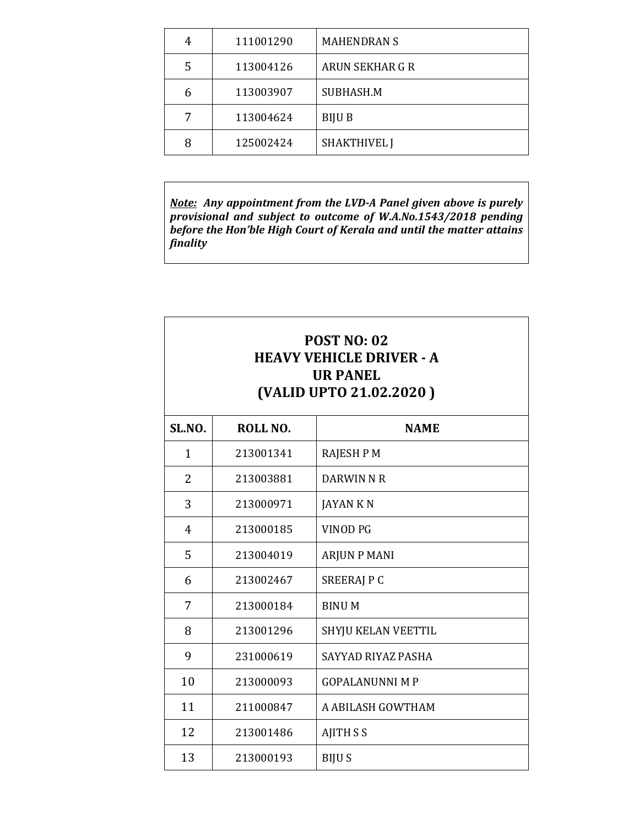|   | 111001290 | <b>MAHENDRAN S</b>     |
|---|-----------|------------------------|
| 5 | 113004126 | <b>ARUN SEKHAR G R</b> |
| 6 | 113003907 | SUBHASH.M              |
|   | 113004624 | <b>BIJU B</b>          |
| 8 | 125002424 | <b>SHAKTHIVEL J</b>    |

Note: Any appointment from the LVD-A Panel given above is purely provisional and subject to outcome of W.A.No.1543/2018 pending before the Hon'ble High Court of Kerala and until the matter attains finality

| <b>POST NO: 02</b><br><b>HEAVY VEHICLE DRIVER - A</b><br><b>UR PANEL</b><br>(VALID UPTO 21.02.2020) |           |                        |
|-----------------------------------------------------------------------------------------------------|-----------|------------------------|
| <b>SL.NO.</b>                                                                                       | ROLL NO.  | <b>NAME</b>            |
| $\mathbf{1}$                                                                                        | 213001341 | <b>RAJESH P M</b>      |
| 2                                                                                                   | 213003881 | DARWIN N R             |
| 3                                                                                                   | 213000971 | <b>JAYAN KN</b>        |
| 4                                                                                                   | 213000185 | <b>VINOD PG</b>        |
| 5                                                                                                   | 213004019 | <b>ARJUN P MANI</b>    |
| 6                                                                                                   | 213002467 | SREERAJ P C            |
| 7                                                                                                   | 213000184 | <b>BINUM</b>           |
| 8                                                                                                   | 213001296 | SHYJU KELAN VEETTIL    |
| 9                                                                                                   | 231000619 | SAYYAD RIYAZ PASHA     |
| 10                                                                                                  | 213000093 | <b>GOPALANUNNI M P</b> |
| 11                                                                                                  | 211000847 | A ABILASH GOWTHAM      |
| 12                                                                                                  | 213001486 | <b>AJITH S S</b>       |
| 13                                                                                                  | 213000193 | <b>BIJUS</b>           |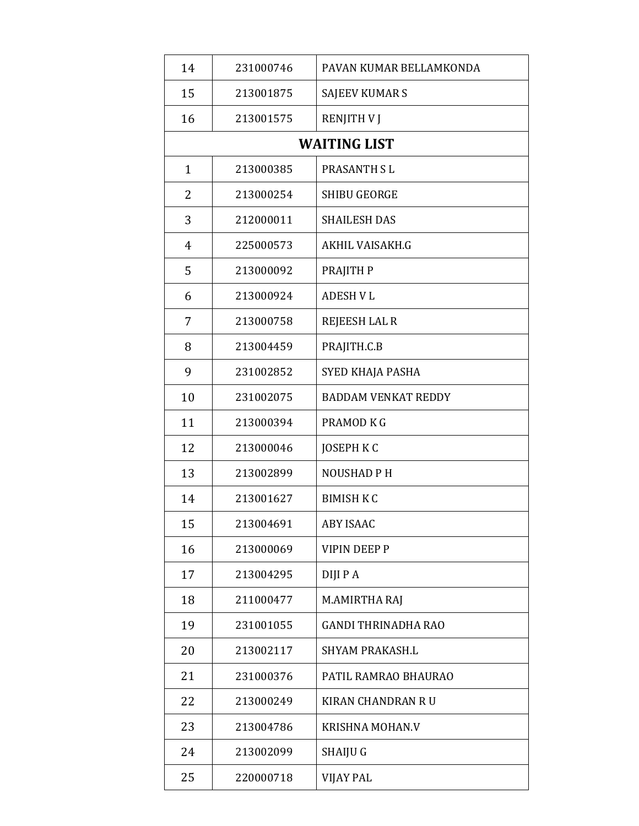| 14             | 231000746 | PAVAN KUMAR BELLAMKONDA    |
|----------------|-----------|----------------------------|
| 15             | 213001875 | <b>SAJEEV KUMAR S</b>      |
| 16             | 213001575 | <b>RENJITH V J</b>         |
|                |           | <b>WAITING LIST</b>        |
| $\mathbf{1}$   | 213000385 | PRASANTH SL                |
| 2              | 213000254 | <b>SHIBU GEORGE</b>        |
| 3              | 212000011 | <b>SHAILESH DAS</b>        |
| $\overline{4}$ | 225000573 | AKHIL VAISAKH.G            |
| 5              | 213000092 | PRAJITH P                  |
| 6              | 213000924 | <b>ADESH V L</b>           |
| 7              | 213000758 | <b>REJEESH LAL R</b>       |
| 8              | 213004459 | PRAJITH.C.B                |
| 9              | 231002852 | SYED KHAJA PASHA           |
| 10             | 231002075 | <b>BADDAM VENKAT REDDY</b> |
| 11             | 213000394 | PRAMOD K G                 |
| 12             | 213000046 | <b>JOSEPH K C</b>          |
| 13             | 213002899 | <b>NOUSHAD PH</b>          |
| 14             | 213001627 | <b>BIMISH K C</b>          |
| 15             | 213004691 | <b>ABY ISAAC</b>           |
| 16             | 213000069 | <b>VIPIN DEEP P</b>        |
| 17             | 213004295 | <b>DIJIPA</b>              |
| 18             | 211000477 | M.AMIRTHA RAJ              |
| 19             | 231001055 | <b>GANDI THRINADHA RAO</b> |
| 20             | 213002117 | <b>SHYAM PRAKASH.L</b>     |
| 21             | 231000376 | PATIL RAMRAO BHAURAO       |
| 22             | 213000249 | <b>KIRAN CHANDRAN R U</b>  |
| 23             | 213004786 | <b>KRISHNA MOHAN.V</b>     |
| 24             | 213002099 | SHAIJU G                   |
| 25             | 220000718 | VIJAY PAL                  |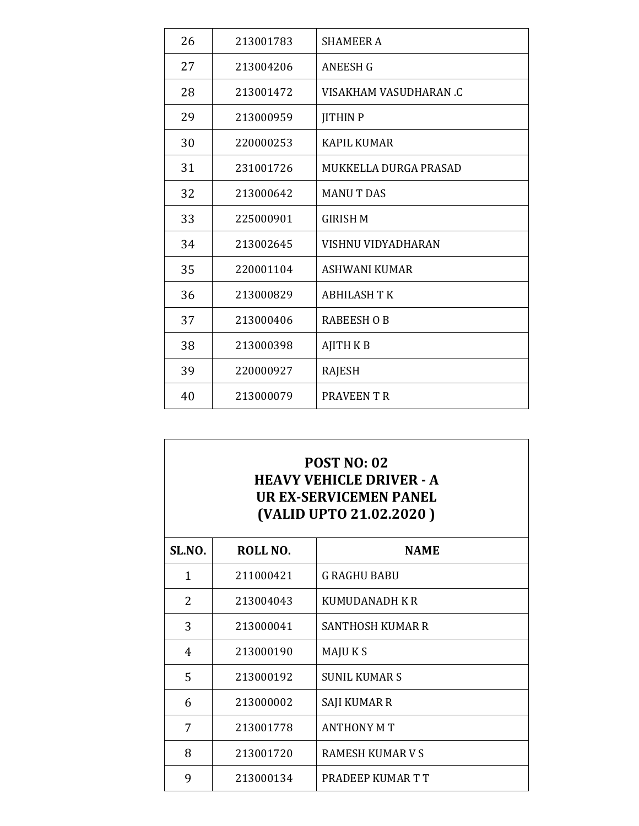| 26 | 213001783 | <b>SHAMEER A</b>       |
|----|-----------|------------------------|
| 27 | 213004206 | <b>ANEESH G</b>        |
| 28 | 213001472 | VISAKHAM VASUDHARAN .C |
| 29 | 213000959 | <b>JITHIN P</b>        |
| 30 | 220000253 | <b>KAPIL KUMAR</b>     |
| 31 | 231001726 | MUKKELLA DURGA PRASAD  |
| 32 | 213000642 | <b>MANUT DAS</b>       |
| 33 | 225000901 | <b>GIRISH M</b>        |
| 34 | 213002645 | VISHNU VIDYADHARAN     |
| 35 | 220001104 | <b>ASHWANI KUMAR</b>   |
| 36 | 213000829 | <b>ABHILASH T K</b>    |
| 37 | 213000406 | <b>RABEESH O B</b>     |
| 38 | 213000398 | <b>AJITH KB</b>        |
| 39 | 220000927 | <b>RAJESH</b>          |
| 40 | 213000079 | PRAVEEN T R            |

# POST NO: 02 HEAVY VEHICLE DRIVER - A UR EX-SERVICEMEN PANEL (VALID UPTO 21.02.2020 )

| SL.NO. | ROLL NO.  | <b>NAME</b>             |
|--------|-----------|-------------------------|
| 1      | 211000421 | <b>G RAGHU BABU</b>     |
| 2      | 213004043 | <b>KUMUDANADH KR</b>    |
| 3      | 213000041 | <b>SANTHOSH KUMAR R</b> |
| 4      | 213000190 | MAJU K S                |
| 5      | 213000192 | <b>SUNIL KUMAR S</b>    |
| 6      | 213000002 | SAJI KUMAR R            |
| 7      | 213001778 | <b>ANTHONY M T</b>      |
| 8      | 213001720 | RAMESH KUMAR V S        |
| 9      | 213000134 | PRADEEP KUMAR T T       |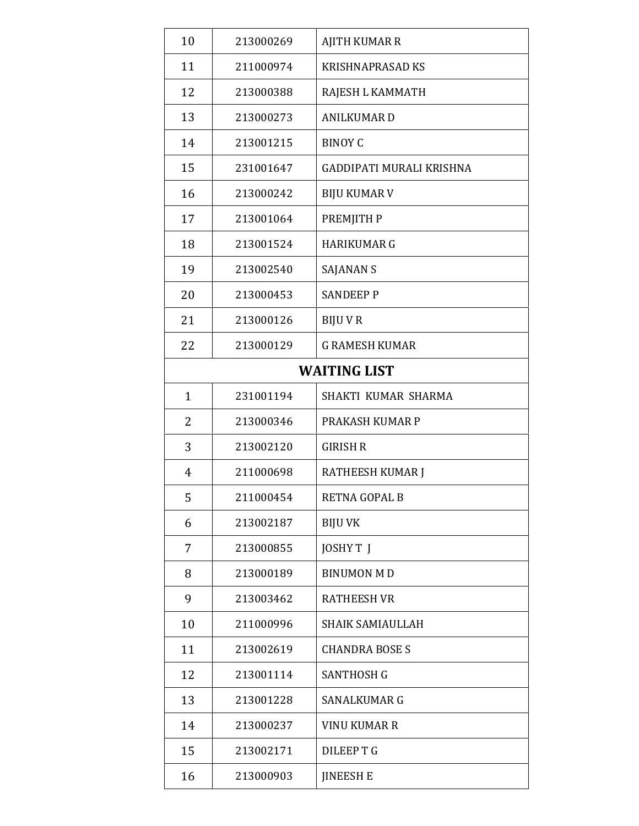| 10             | 213000269 | <b>AJITH KUMAR R</b>            |
|----------------|-----------|---------------------------------|
| 11             | 211000974 | <b>KRISHNAPRASAD KS</b>         |
| 12             | 213000388 | RAJESH L KAMMATH                |
| 13             | 213000273 | <b>ANILKUMARD</b>               |
| 14             | 213001215 | <b>BINOY C</b>                  |
| 15             | 231001647 | <b>GADDIPATI MURALI KRISHNA</b> |
| 16             | 213000242 | <b>BIJU KUMAR V</b>             |
| 17             | 213001064 | PREMJITH P                      |
| 18             | 213001524 | <b>HARIKUMAR G</b>              |
| 19             | 213002540 | SAJANAN S                       |
| 20             | 213000453 | <b>SANDEEP P</b>                |
| 21             | 213000126 | <b>BIJUVR</b>                   |
| 22             | 213000129 | <b>G RAMESH KUMAR</b>           |
|                |           | <b>WAITING LIST</b>             |
| $\mathbf{1}$   | 231001194 | SHAKTI KUMAR SHARMA             |
| $\overline{2}$ | 213000346 | PRAKASH KUMAR P                 |
| 3              | 213002120 | <b>GIRISH R</b>                 |
| 4              | 211000698 | RATHEESH KUMAR J                |
| 5              | 211000454 | RETNA GOPAL B                   |
| 6              | 213002187 | <b>BIJU VK</b>                  |
| 7              | 213000855 | JOSHY TJ                        |
| 8              | 213000189 | <b>BINUMON MD</b>               |
| 9              | 213003462 | <b>RATHEESH VR</b>              |
| 10             | 211000996 | <b>SHAIK SAMIAULLAH</b>         |
| 11             | 213002619 | <b>CHANDRA BOSE S</b>           |
| 12             | 213001114 | <b>SANTHOSH G</b>               |
| 13             | 213001228 | <b>SANALKUMAR G</b>             |
| 14             | 213000237 | <b>VINU KUMAR R</b>             |
| 15             | 213002171 | <b>DILEEPTG</b>                 |
| 16             | 213000903 | <b>JINEESH E</b>                |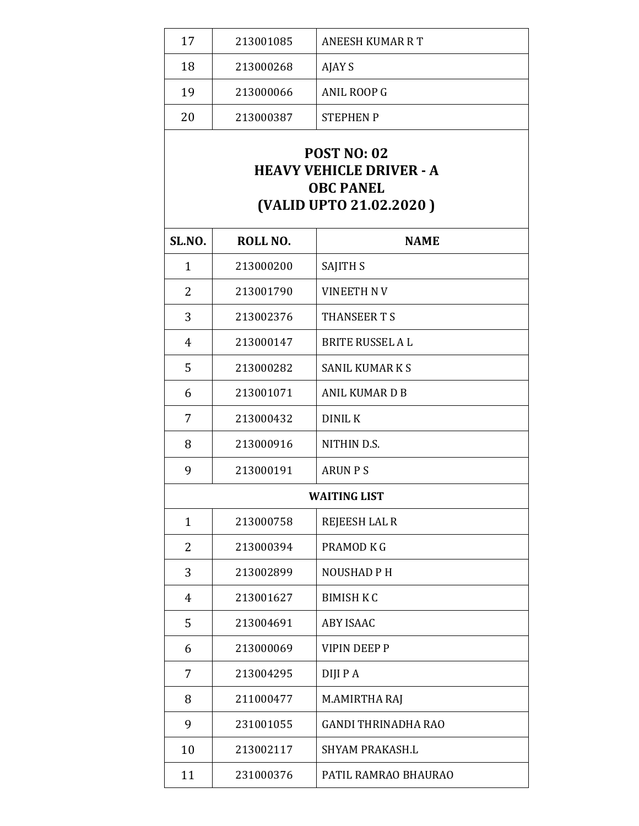| 17<br>213001085 | <b>ANEESH KUMAR R T</b> |
|-----------------|-------------------------|
| 18<br>213000268 | AJAY S                  |
| 19<br>213000066 | ANIL ROOP G             |
| 20<br>213000387 | <b>STEPHEN P</b>        |

## POST NO: 02 HEAVY VEHICLE DRIVER - A OBC PANEL (VALID UPTO 21.02.2020 )

| SL.NO.              | ROLL NO.  | <b>NAME</b>                |
|---------------------|-----------|----------------------------|
| $\mathbf{1}$        | 213000200 | <b>SAJITH S</b>            |
| 2                   | 213001790 | <b>VINEETH NV</b>          |
| 3                   | 213002376 | <b>THANSEERTS</b>          |
| $\overline{4}$      | 213000147 | <b>BRITE RUSSEL A L</b>    |
| 5                   | 213000282 | <b>SANIL KUMAR K S</b>     |
| 6                   | 213001071 | <b>ANIL KUMARDB</b>        |
| 7                   | 213000432 | <b>DINIL K</b>             |
| 8                   | 213000916 | NITHIN D.S.                |
| 9                   | 213000191 | <b>ARUN PS</b>             |
| <b>WAITING LIST</b> |           |                            |
| $\mathbf{1}$        | 213000758 | <b>REJEESH LAL R</b>       |
| $\overline{2}$      | 213000394 | PRAMOD K G                 |
| 3                   | 213002899 | <b>NOUSHAD PH</b>          |
| 4                   | 213001627 | <b>BIMISH K C</b>          |
| 5                   | 213004691 | <b>ABY ISAAC</b>           |
| 6                   | 213000069 | <b>VIPIN DEEP P</b>        |
| 7                   | 213004295 | DIJI P A                   |
| 8                   | 211000477 | M.AMIRTHA RAJ              |
| 9                   | 231001055 | <b>GANDI THRINADHA RAO</b> |
| 10                  | 213002117 | <b>SHYAM PRAKASH.L</b>     |
| 11                  | 231000376 | PATIL RAMRAO BHAURAO       |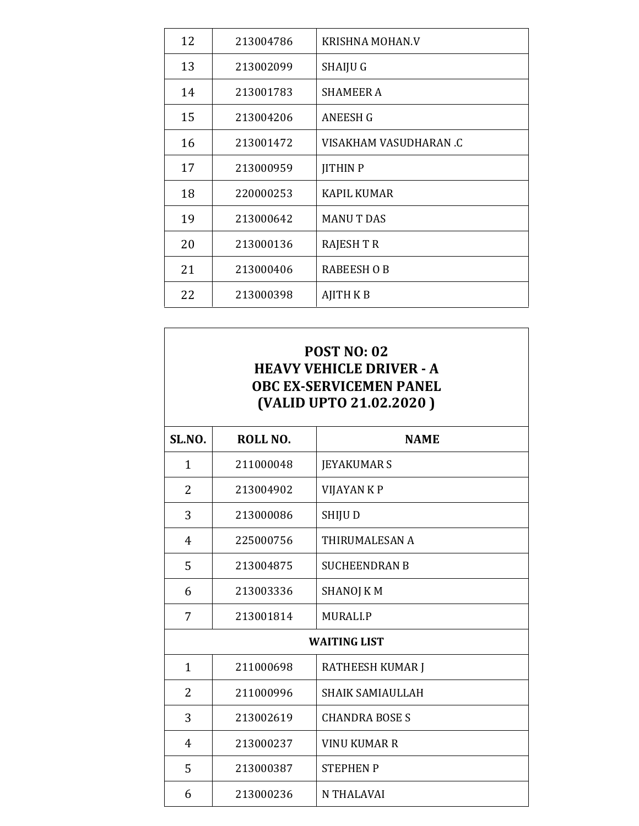| 12 | 213004786 | <b>KRISHNA MOHAN.V</b> |
|----|-----------|------------------------|
| 13 | 213002099 | SHAIJU G               |
| 14 | 213001783 | <b>SHAMEER A</b>       |
| 15 | 213004206 | <b>ANEESH G</b>        |
| 16 | 213001472 | VISAKHAM VASUDHARAN .C |
| 17 | 213000959 | <b>JITHIN P</b>        |
| 18 | 220000253 | <b>KAPIL KUMAR</b>     |
| 19 | 213000642 | <b>MANUT DAS</b>       |
| 20 | 213000136 | <b>RAJESH T R</b>      |
| 21 | 213000406 | <b>RABEESH O B</b>     |
| 22 | 213000398 | <b>AJITH K B</b>       |

# POST NO: 02 HEAVY VEHICLE DRIVER - A OBC EX-SERVICEMEN PANEL (VALID UPTO 21.02.2020 )

| SL.NO.              | ROLL NO.  | <b>NAME</b>             |
|---------------------|-----------|-------------------------|
| 1                   | 211000048 | <b>JEYAKUMAR S</b>      |
| $\overline{2}$      | 213004902 | VIJAYAN K P             |
| 3                   | 213000086 | SHIJU D                 |
| 4                   | 225000756 | THIRUMALESAN A          |
| 5                   | 213004875 | <b>SUCHEENDRAN B</b>    |
| 6                   | 213003336 | <b>SHANOJ KM</b>        |
| 7                   | 213001814 | <b>MURALI.P</b>         |
| <b>WAITING LIST</b> |           |                         |
| $\mathbf{1}$        | 211000698 | <b>RATHEESH KUMAR J</b> |
| $\overline{2}$      | 211000996 | <b>SHAIK SAMIAULLAH</b> |
| 3                   | 213002619 | <b>CHANDRA BOSE S</b>   |
| 4                   | 213000237 | <b>VINU KUMAR R</b>     |
| 5                   | 213000387 | <b>STEPHENP</b>         |
| 6                   | 213000236 | <b>N THALAVAI</b>       |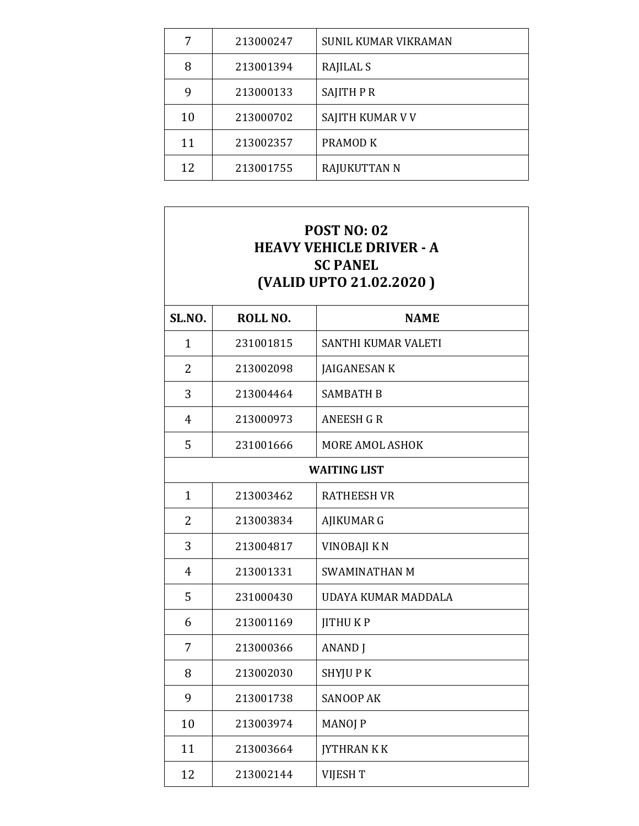| 7  | 213000247 | <b>SUNIL KUMAR VIKRAMAN</b> |
|----|-----------|-----------------------------|
| 8  | 213001394 | RAJILAL S                   |
| 9  | 213000133 | <b>SAJITH P R</b>           |
| 10 | 213000702 | SAJITH KUMAR V V            |
| 11 | 213002357 | PRAMOD K                    |
| 12 | 213001755 | <b>RAJUKUTTAN N</b>         |

| <b>POST NO: 02</b><br><b>HEAVY VEHICLE DRIVER - A</b><br><b>SC PANEL</b><br>(VALID UPTO 21.02.2020) |           |                        |
|-----------------------------------------------------------------------------------------------------|-----------|------------------------|
| SL.NO.                                                                                              | ROLL NO.  | <b>NAME</b>            |
| $\mathbf{1}$                                                                                        | 231001815 | SANTHI KUMAR VALETI    |
| 2                                                                                                   | 213002098 | <b>JAIGANESAN K</b>    |
| 3                                                                                                   | 213004464 | <b>SAMBATH B</b>       |
| $\overline{4}$                                                                                      | 213000973 | <b>ANEESH G R</b>      |
| 5                                                                                                   | 231001666 | <b>MORE AMOL ASHOK</b> |
| <b>WAITING LIST</b>                                                                                 |           |                        |
| $\mathbf{1}$                                                                                        | 213003462 | <b>RATHEESH VR</b>     |
| 2                                                                                                   | 213003834 | AJIKUMAR G             |
| 3                                                                                                   | 213004817 | VINOBAJI K N           |
| 4                                                                                                   | 213001331 | <b>SWAMINATHAN M</b>   |
| 5                                                                                                   | 231000430 | UDAYA KUMAR MADDALA    |
| 6                                                                                                   | 213001169 | <b>JITHUKP</b>         |
| 7                                                                                                   | 213000366 | <b>ANAND</b> J         |
| 8                                                                                                   | 213002030 | SHYJU P K              |
| 9                                                                                                   | 213001738 | <b>SANOOP AK</b>       |
| 10                                                                                                  | 213003974 | <b>MANOJ P</b>         |
| 11                                                                                                  | 213003664 | <b>IYTHRAN K K</b>     |
| 12                                                                                                  | 213002144 | VIJESH T               |